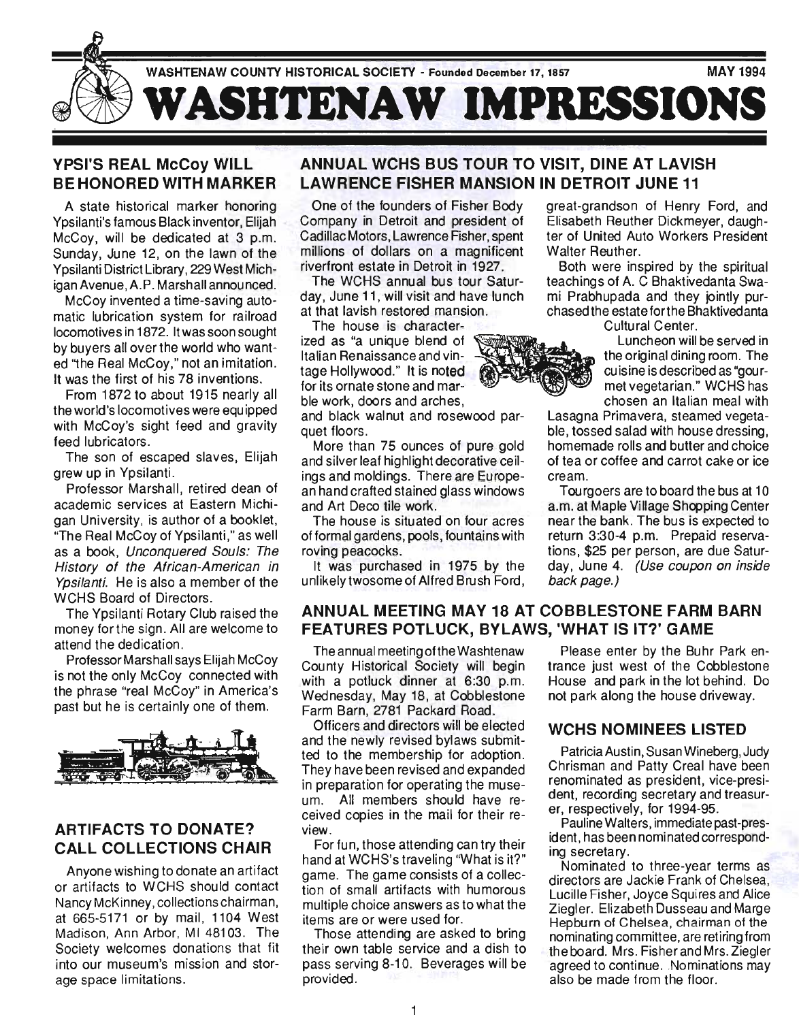

## YPSI'S REAL McCoy WILL BE HONORED WITH MARKER

A state historical marker honoring Ypsilanti's famous Black inventor, Elijah McCoy, will be dedicated at 3 p.m. Sunday, June 12, on the lawn of the Ypsilanti District Library, 229 West Michigan Avenue, A.P. Marshall announced.

McCoy invented a time-saving automatic lubrication system for railroad locomotives in 1872. It was soon sought by buyers all over the world who wanted "the Real McCoy," not an imitation. It was the first of his 78 inventions.

From 1872 to about 1915 nearly all the world's locomotives were equipped with McCoy's sight feed and gravity feed lubricators.

The son of escaped slaves, Elijah grew up in Ypsilanti.

Professor Marshall, retired dean of academic services at Eastern Michigan University, is author of a booklet, "The Real McCoy of Ypsilanti," as well as a book, Unconquered Souls: The History of the African-American in Ypsilanti. He is also a member of the WCHS Board of Directors.

The Ypsilanti Rotary Club raised the money forthe sign. All are welcome to attend the dedication.

Professor Marshall says Elijah McCoy is not the only McCoy connected with the phrase "real McCoy" in America's past but he is certainly one of them.



## ARTIFACTS TO DONATE? CALL COLLECTIONS CHAIR

Anyone wishing to donate an artifact or artifacts to WCHS should contact Nancy McKinney, collections chairman, at 665-5171 or by mail, 1104 West Madison, Ann Arbor, MI 48103. The Society welcomes donations that fit into our museum's mission and storage space limitations.

## ANNUAL WCHS BUS TOUR TO VISIT, DINE AT LAVISH LAWRENCE FISHER MANSION IN DETROIT JUNE 11

One of the founders of Fisher Body Company in Detroit and president of Cadillac Motors, Lawrence Fisher, spent millions of dollars on a magnificent riverfront estate in Detroit in 1927.

The WCHS annual bus tour Saturday, June 11, will visit and have lunch at that lavish restored mansion.

The house is characterized as "a unique blend of Italian Renaissance and vintage Hollywood." It is noted for its ornate stone and marble work, doors and arches,

and black walnut and rosewood parquet floors.

More than 75 ounces of pure gold and silver leaf highlight decorative ceilings and moldings. There are European hand crafted stained glass windows and Art Deco tile work.

The house is situated on four acres of formal gardens, pools, fountains with roving peacocks.

It was purchased in 1975 by the unlikely twosome of Alfred Brush Ford, great-grandson of Henry Ford, and Elisabeth Reuther Dickmeyer, daughter of United Auto Workers President Walter Reuther.

Both were inspired by the spiritual teachings of A. C Bhaktivedanta Swami Prabhupada and they jointly purchased the estateforthe Bhaktivedanta Cultural Center.

> Luncheon will be served in the original dining room. The cuisine is described as "gourmet vegetarian." WCHS has chosen an Italian meal with

Lasagna Primavera, steamed vegetable, tossed salad with house dressing, homemade rolls and butter and choice of tea or coffee and carrot cake or ice cream.

Tourgoers are to board the bus at 10 a.m. at Maple Village Shopping Center near the bank. The bus is expected to return 3:30-4 p.m. Prepaid reservations, \$25 per person, are due Saturday, June 4. (Use coupon on inside back page.)

## ANNUAL MEETING MAY 18 AT COBBLESTONE FARM BARN FEATURES POTLUCK, BYLAWS, 'WHAT IS IT?' GAME

The annual meeting of the Washtenaw County Historical Society will begin with a potluck dinner at 6:30 p.m. Wednesday, May 18, at Cobblestone Farm Barn, 2781 Packard Road.

Officers and directors will be elected and the newly revised bylaws submitted to the membership for adoption. They have been revised and expanded in preparation for operating the museum. All members should have received copies in the mail for their review.

For fun, those attending can try their hand at WCHS's traveling "What is it?" game. The game consists of a collection of small artifacts with humorous multiple choice answers as to what the items are or were used for.

Those attending are asked to bring their own table service and a dish to pass serving 8-10. Beverages will be provided.

Please enter by the Buhr Park entrance just west of the Cobblestone House and park in the lot behind. Do not park along the house driveway.

#### WCHS NOMINEES LISTED

Patricia Austin, Susan Wineberg, Judy Chrisman and Patty Creal have been renominated as president, vice-president, recording secretary and treasurer, respectively, for 1994-95.

Pauline Walters, immediate past-president, has been nominated corresponding secretary.

Nominated to three-year terms as directors are Jackie Frank of Chelsea, Lucille Fisher, Joyce Squires and Alice Ziegler. Elizabeth Dusseau and Marge Hepburn of Chelsea, chairman of the nominating committee, are retiring from the board. Mrs. Fisher and Mrs. Ziegler agreed to continue. Nominations may also be made from the floor.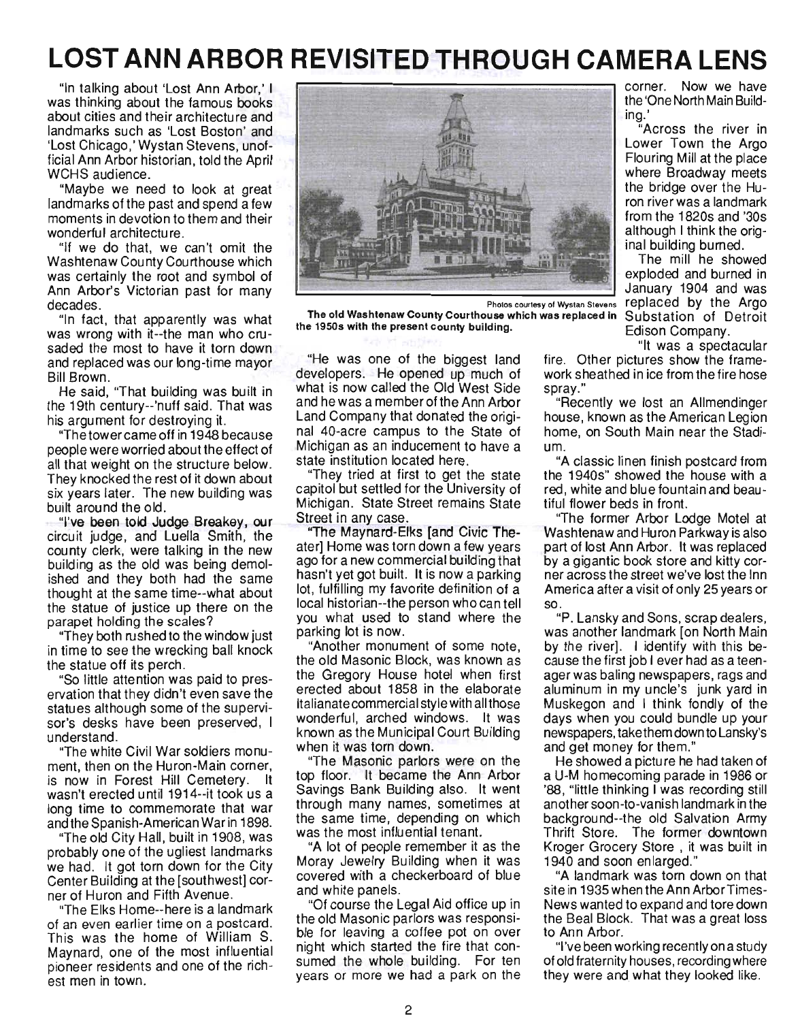# **LOST ANN ARBOR REVISITED THROUGH CAMERA LENS**

"In talking about 'Lost Ann Arbor,' I was thinking about the famous books about cities and their architecture and landmarks such as 'Lost Boston' and 'Lost Chicago,' Wystan Stevens, unofficial Ann Arbor historian, told the April WCHS audience.

"Maybe we need to look at great landmarks of the past and spend a few moments in devotion to them and their wonderful architecture.

"If we do that, we can't omit the Washtenaw County Courthouse which was certainly the root and symbol of Ann Arbor's Victorian past for many decades. .

"In fact, that apparently was what was wrong with it--the man who crusaded the most to have it torn down and replaced was our long-time mayor Bill Brown .

He said, "That building was built in the 19th century--'nuff said. That was his argument for destroying it.

"The tower came off in 1948 because people were worried about the effect of all that weight on the structure below. They knocked the rest of it down about six years later. The new building was built around the old.

"I've been told Judge Breakey, our circuit judge, and Luella Smith, the county clerk, were talking in the new building as the old was being demolished and they both had the same thought at the same time--what about the statue of justice up there on the parapet holding the scales?

"They both rushed to the window just in time to see the wrecking ball knock the statue off its perch.

"So little attention was paid to preservation that they didn't even save the statues although some of the supervisor's desks have been preserved, I understand.

"The white Civil War soldiers monument, then on the Huron-Main corner, is now in Forest Hill Cemetery. It wasn't erected until 1914--it took us a long time to commemorate that war and the Spanish-American War in 1898.

"The old City Hall, built in 1908, was probably one of the ugliest landmarks we had. It got torn down for the City Center Building at the [southwest] corner of Huron and Fifth Avenue.

"The Elks Home--here is a landmark of an even earlier time on a postcard. This was the home of William S. Maynard, one of the most influential pioneer residents and one of the richest men in town.



The old Washtenaw County Courthouse which was replaced In Substation of Detroit the 19508 with the present county building. Edison Company.

"He was one of the biggest land developers. He opened up much of what is now called the Old West Side and he was a member of the Ann Arbor Land Company that donated the original 40-acre campus to the State of Michigan as an inducement to have a state institution located here.

"They tried at first to get the state capitol but settled for the University of Michigan. State Street remains State Street in any case.

"The Maynard-Elks [and Civic Theater] Home was torn down a few years ago for a new commercial building that hasn't yet got built. It is now a parking lot, fulfilling my favorite definition of a local historian--the person who can tell you what used to stand where the parking lot is now.

"Another monument of some note, the old Masonic Block, was known as the Gregory House hotel when first erected about 1858 in the elaborate Italianate commercial style with all those wonderful, arched windows. It was known as the Municipal Court Building when it was torn down.

"The Masonic parlors were on the top floor. It became the Ann Arbor Savings Bank Building also. It went through many names, sometimes at the same time, depending on which was the most influential tenant.

"A lot of people remember it as the Moray Jewelry Building when it was covered with a checkerboard of blue and white panels.

"Of course the Legal Aid office up in the old Masonic parlors was responsible for leaving a coffee pot on over night which started the fire that consumed the whole building. For ten years or more we had a park on the

corner. Now we have the 'One North Main Building.'

"Across the river in Lower Town the Argo Flouring Mill at the place where Broadway meets the bridge over the Huron river was a landmark from the 1820s and '30s although I think the original building burned.

The mill he showed exploded and burned in January 1904 and was Photos courtesy of Wystan Stevens replaced by the Argo

"It was a spectacular

fire. Other pictures show the framework sheathed in ice from the fire hose spray."

"Recently we lost an Allmendinger house, known as the American Legion home, on South Main near the Stadium.

"A classic linen finish postcard from the 1940s" showed the house with a red, white and blue fountain and beautiful flower beds in front.

"The former Arbor Lodge Motel at Washtenaw and Huron Parkway is also part of lost Ann Arbor. It was replaced by a gigantic book store and kitty corner across the street we've lost the Inn America after a visit of only 25 years or so.

"P. Lansky and Sons, scrap dealers, was another landmark [on North Main by the river]. I identify with this because the first job I ever had as a teenager was baling newspapers, rags and aluminum in my uncle's junk yard in Muskegon and I think fondly of the days when you could bundle up your newspapers, take them down to Lansky's and get money for them."

He showed a picture he had taken of a U-M homecoming parade in 1986 or '88, "little thinking I was recording still another soon-to-vanish landmark in the background--the old Salvation Army Thrift Store. The former downtown Kroger Grocery Store, it was built in 1940 and soon enlarged."

"A landmark was torn down on that site in 1935 when the Ann Arbor Times-News wanted to expand and tore down the Beal Block. That was a great loss to Ann Arbor.

"I've been working recently on a study of old fraternity houses, recording where they were and what they looked like.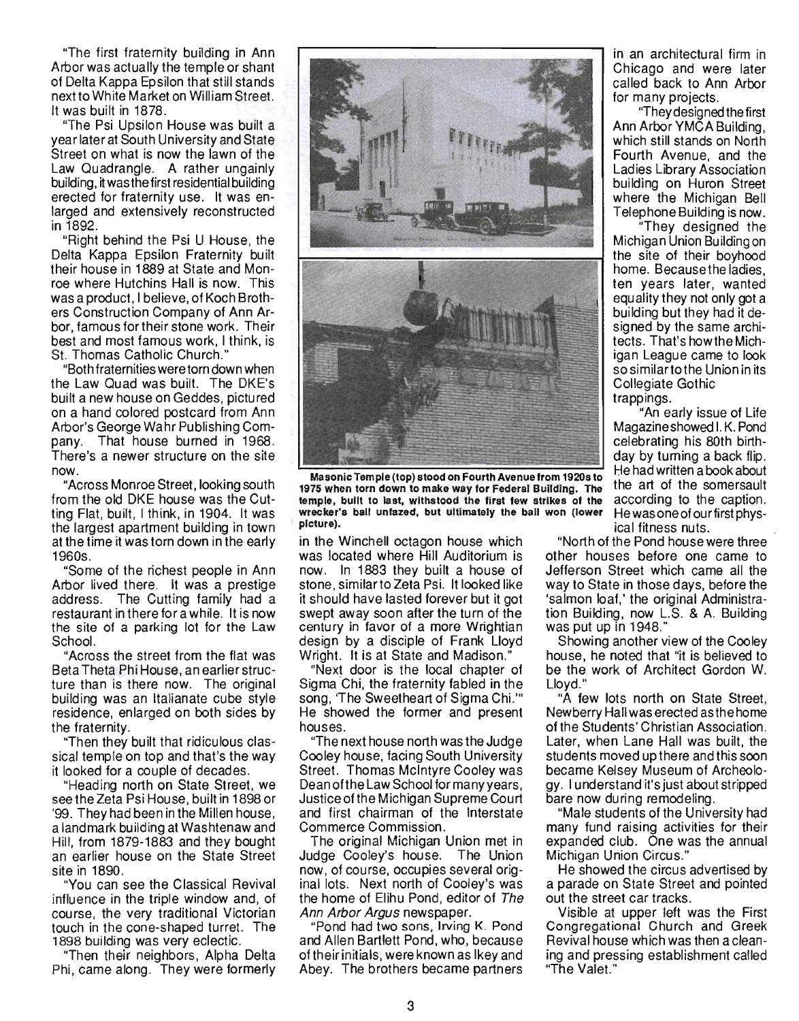"The first fraternity building in Ann Arbor was actually the temple or shant of Delta Kappa Epsilon that still stands nextto White Market on William Street. It was built in 1878.

"The Psi Upsilon House was built a year later at South University and State Street on what is now the lawn of the Law Quadrangle. A rather ungainly aw Quadialigie. A failler difgallify<br>Julian burgatho first residential building erected for fraternity use. It was enerected for fraternity use. It was en-<br>larged and extensively reconstructed in 1892.

"Right behind the Psi U House, the Delta Kappa Epsilon Fraternity built their house in 1889 at State and Monroe where Hutchins Hall is now. This was a product, I believe, of Koch Brothers Construction Company of Ann Arbor, famous fortheir stone work. Their best and most famous work, I think, is St. Thomas Catholic Church."

"Both fraternities were torn down when the Law Quad was built. The DKE's built a new house on Geddes, pictu red on a hand colored postcard from Ann Arbor's George Wahr Publishing Compart is dealer want rubits in 1968. There's a newer structure on the site. nono :<br>... "Across Monroe Street, looking south

from the old DKE house was the Cutting Flat, built, I think, in 1904. It was  $t_{\rm H}$  is largest apartment building in town. at the time it was torn down in the early 1960 BBC<br>1004 US.<br>'eme of the richest people in Ann

Are there. It was a prestige Arbor lived there. It was a prestige address. The Cutting family had a restaurant in there for a while. It is now  $t_{\rm s}$  is a site of a parking lot for the Law the site of a parking lot for the Law<br>School. "Across the street from the flat was

Beta Theta Phi House, an earlier struc-<br>Beta Theta Phi House, an earlier struc-Beta Theta Phi House, an earlier structure than is there now. The original building was an Italianate cube style residence, enlarged on both sides by residence, enlarged on both sides by the fraternity.

"Then they built that ridiculous classine in the way will that huidurous diasval tomple on top and that S the way "Heading north on State Street, we

see the Zeta Psi House, built in 1898 or see the Zeta Psi House, built in 1898 or '99. They had been in the Millen house, a landmark building at Washtenaw and Hill, from 1879-1883 and they bought an earlier house on the State Street site in 1890. "You can see the Classical Revival

influence in the triple window and, of influence in the triple window and, of course, the very traditional Victorian touch in the cone-shaped turret. The 1898 building was very eclectic.

Then their neighbors, Alpha Delta<br>Phi, came along. They were formerly



 $\frac{1}{2}$  masonic Temple (top) stood on Fourth Avenue from 1920s to 1975 when torn down to make way for Federal Building. The temple, built to last, withstood the first few strikes of the wrecker's ball unfazed, but ultimately the ball won (lower picture).

in the Winchell octagon house which was located where Hill Auditorium is as iuualtu wiltit filli Auullufiuffi is<br>and in 1999 they built a house of stone, similartoZeta Psi. It looked like stone, similar to Zeta Psi. It looked like it should have lasted forever but it got swept away soon after the turn of the vept away soon alter the turn of the century in favor of a more Wrightian design by a disciple of Frank Lloyd. Wright. It is at State and Madison.'

"Next door is the local chapter of Sigma Chi, the fraternity fabled in the song. 'The Sweetheart of Sigma Chi.'" He showed the former and present<br>houses. "The next house north was the Judge

Cooley house, facing South University Cooley house, facing South University Street. Thomas McIntyre Cooley was Dean of the Law School for many years, Justice of the Michigan Supreme Court and first chairman of the Interstate<br>Commerce Commission. The original Michigan Union met in

Judge Cooley's house. The Union Judge Cooley's house. The Union now, of course, occupies several original lots. Next north of Cooley's was the home of Elihu Pond, editor of The<br>Ann Arbor Argus newspaper. *i Arbor Argus* newspaper.<br>Pond had two sons, Indian K. Pond.

and Allen Bartlett Pond, who, because and Allen Bartlett Pond, who, because of their initials, were known as Ikey and<br>Abey. The brothers became partners

in an architectural firm in Chicago and were later called back to Ann Arbor for many projects.

"They designed the first Ann Arbor YMCA Building, which still stands on North Fourth Avenue, and the Ladies Library Association building on Huron Street where the Michigan Bell Telephone Building is now.

"They designed the Michigan Union Building on the site of their boyhood home. Because the ladies, ome. Decause me laules,<br>Die veere leter, wanted  $m = 1$ ity they not only got a equality they not only got a<br>building but they had it designed by the same architects. That's how the Michigan League came to look an League Canie IO IOON<br>soimilartothe Union in its Johnnar tuthe Unit<br>Allegiate Gothic Collegiate Gothic<br>trappings.

"An early issue of Life Magazine showed I. K. Pond agaziritəri i vivitur. N. Fullu<br>Ələbratina-bir 80th-birthday by turning a back flip. day by turning a back flip.<br>He had written a book about the art of the somersault according to the caption. Gording to the caption. He was one of our first physical fitness nuts.

"North of the Pond house were three other houses before one came to Jefferson Street which came all the whether which came all the state of the State in the state of the state of the state of the state of the state of the state of the state of the state of the state of the state of the state of the state of the state of the way to State in those days, before the 'salmon loaf,' the original Administration Building, now L.S. & A. Building of building, now L.S. Showing another view of the Cooley

house, he noted that "it is believed to house, he noted that "it is believed to be the work of Architect Gordon W.<br>Lloyd."

"A few lots north on State Street, A TEW TOLS TIONITY ON STATE STIEBL, of the Students' Christian Association. of the Students' Christian Association. Later, when Lane Hall was built, the students moved up there and this soon<br>became Kelsey Museum of Archeology. I understand it's just about stripped p. Tunuerstand it sjust about s bare now during remodeling.

"Male students of the University had many fund raising activities for their expanded club. One was the annual<br>Michigan Union Circus." Higan UIRUH UIRUS.<br>A showed the circus advertised by

a parade on State Street and pointed a parade on State Street and pointed<br>out the street car tracks. Visible at upper left was the First

Visible at upper left was the First Congregational Church and Greek Revival house which was then a cleaning and pressing establishment called<br>"The Valet."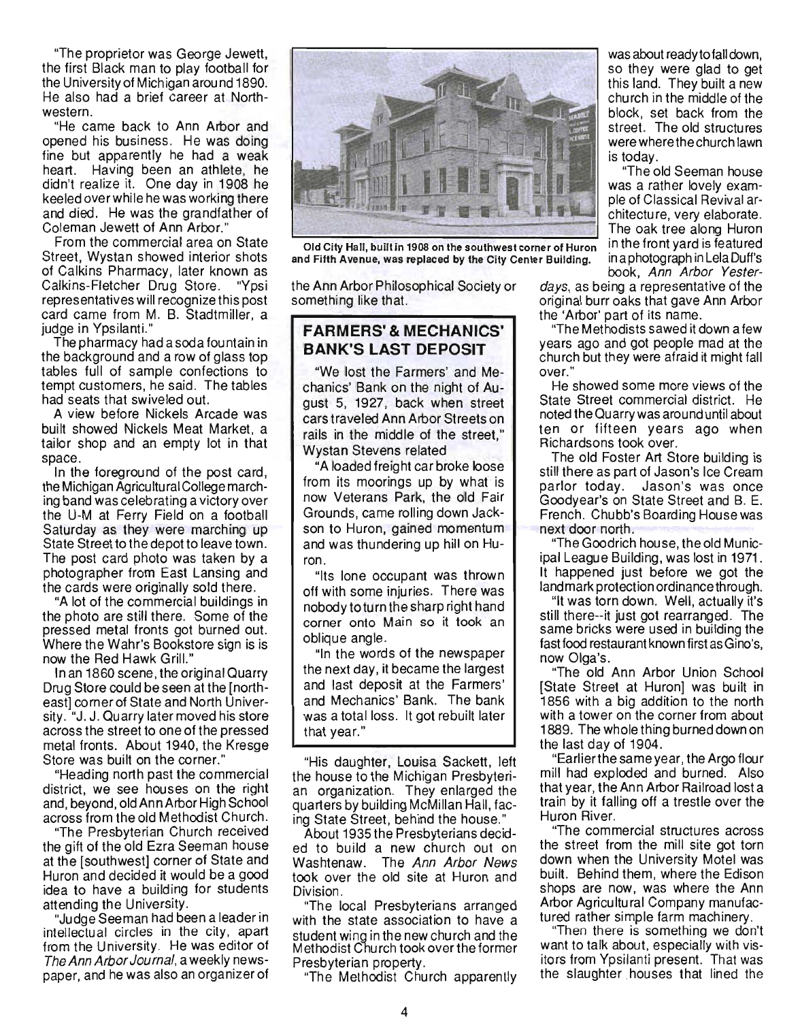"The proprietor was George Jewett, the first Black man to play football for the University of Michigan around 1890. He also had a brief career at Northwestern.

"He came back to Ann Arbor and opened his business. He was doing fine but apparently he had a weak heart. Having been an athlete, he didn't realize it. One day in 1908 he keeled over while hewas working there and died. He was the grandfather of Coleman Jewett of Ann Arbor."

From the commercial area on State Street, Wystan showed interior shots of Calkins Pharmacy, later known as Calkins-Fletcher Drug Store. "Ypsi representatives will recognize this post card came from M. B. Stadtmiller, a judge in Ypsilanti."

The pharmacy had a soda fountain in the background and a row of glass top tables full of sample confections to tempt customers, he said. The tables had seats that swiveled out.

A view before Nickels Arcade was built showed Nickels Meat Market, a tailor shop and an empty lot in that space.

In the foreground of the post card, the Michigan Agricultural College marching band was celebrating a victory over the U-M at Ferry Field on a football Saturday as they were marching up State Street to the depot to leave town. The post card photo was taken by a photographer from East Lansing and the cards were originally sold there.

"A lot of the commercial buildings in the photo are still there. Some of the pressed metal fronts got burned out. Where the Wahr's Bookstore sign is is now the Red Hawk Grill."

In an 1860 scene, the original Quarry Drug Store could be seen at the [northeast] corner of State and North University. "J. J. Quarry later moved his store across the street to one of the pressed metal fronts. About 1940, the Kresge Store was built on the corner."

"Heading north past the commercial district, we see houses on the right and, beyond, old Ann Arbor High School across from the old Methodist Church.

"The Presbyterian Church received the gift of the old Ezra Seeman house at the [southwest] corner of State and Huron and decided it would be a good idea to have a building for students attending the University.

"Judge Seeman had been a leader in intellectual circles in the city, apart from the University. He was editor of The Ann Arbor Journal, a weekly newspaper, and he was also an organizer of



Old City Hall, built in 1908 on the southwest corner of Huron in the front yard is featured and Fifth Avenue, was replaced by the City Center Building. in a photograph in Lela Duff's

the Ann Arbor Philosophical Society or days, as being a representative of the something like that. original burr oaks that gave Ann Arbor

#### **FARMERS'& MECHANICS' BANK'S LAST DEPOSIT**

"We lost the Farmers' and Mechanics' Bank on the night of August 5, 1927, back when street cars traveled Ann Arbor Streets on rails in the middle of the street," Wystan Stevens related

"A loaded freight car broke loose from its moorings up by what is now Veterans Park, the old Fair Grounds, came rolling down Jackson to Huron, gained momentum and was thundering up hill on Huron.

"Its lone occupant was thrown off with some injuries. There was nobody to turn the sharp right hand corner onto Main so it took an oblique angle.

"In the words of the newspaper the next day, it became the largest and last deposit at the Farmers' and Mechanics' Bank. The bank was a total loss. It got rebuilt later that year."

"His daughter, Louisa Sackett, left the house to the Michigan Presbyterian organization. They enlarged the quarters by building McMillan Hall, facing State Street, behind the house."

About 1935 the Presbyterians decided to build a new church out on Washtenaw. The Ann Arbor News took over the old site at Huron and Division.

"The local Presbyterians arranged with the state association to have a student wing in the new church and the Methodist Church took overthe former Presbyterian property.

"The Methodist Church apparently

was about ready to fall down, so they were glad to get this land. They built a new church in the middle of the block, set back from the street. The old structures were where the church lawn is today.

"The old Seeman house was a rather lovely example of Classical Revival architecture, very elaborate. The oak tree along Huron book, Ann Arbor Yester-

the 'Arbor' part of its name.

"The Methodists sawed it down a few years ago and got people mad at the church but they were afraid it might fall over."

He showed some more views of the State Street commercial district. He noted the Quarry was around until about ten or fifteen years ago when Richardsons took over.

The old Foster Art Store building is still there as part of Jason's Ice Cream parlor today. Jason's was once Goodyear's on State Street and B. E. French. Chubb's Boarding House was next door north.

"The Goodrich house, the old Municipal League Building, was lost in 1971. It happened just before we got the landmark protection ordinance through.

"It was torn down. Well, actually it's still there--it just got rearranged. The same bricks were used in building the fast food restaurant known first as Gino's, now Olga's.

"The old Ann Arbor Union School [State Street at Huron] was built in 1856 with a big addition to the north with a tower on the corner from about 1889. The whole thing burned down on the last day of 1904.

"Earlierthe same year, the Argo flour mill had exploded and burned. Also that year, the Ann Arbor Railroad lost a train by it falling off a trestle over the Huron River.

"The commercial structures across the street from the mill site got torn down when the University Motel was built. Behind them, where the Edison shops are now, was where the Ann Arbor Agricultural Company manufactured rather simple farm machinery.

"Then there is something we don't want to talk about, especially with visitors from Ypsilanti present. That was the slaughter houses that lined the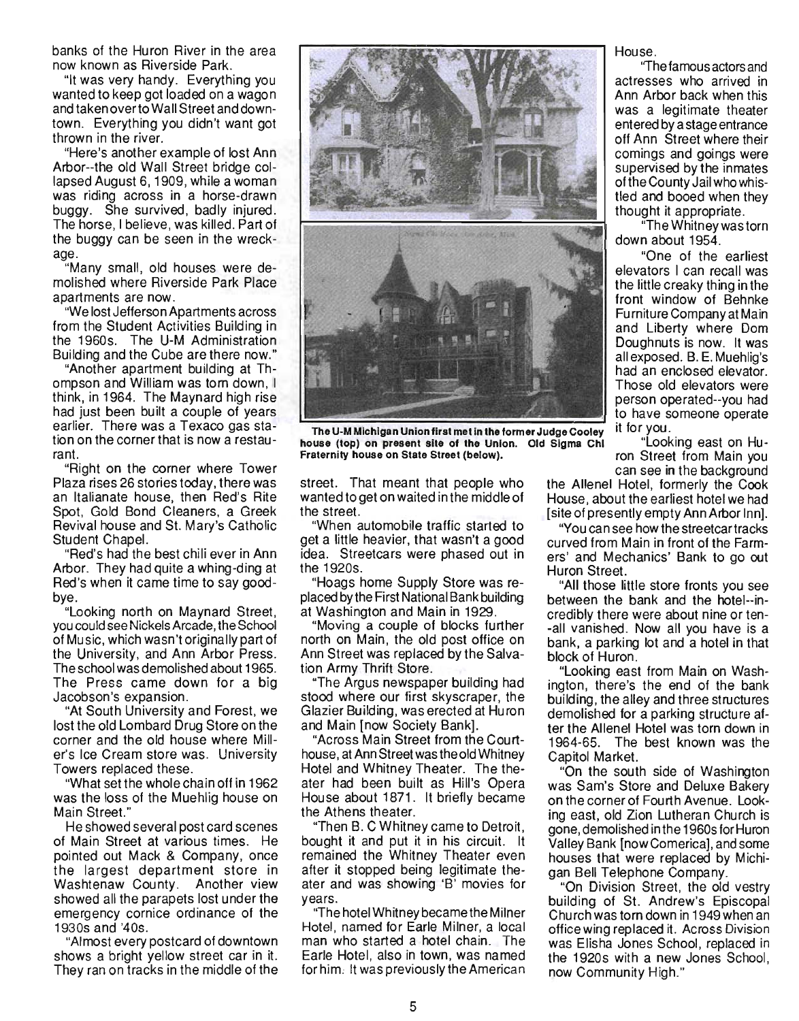banks of the Huron River in the area now known as Riverside Park.

"It was very handy. Everything you wanted to keep got loaded on a wagon and taken over to Wall Street and downtown. Everything you didn't want got thrown in the river.

"Here's another example of lost Ann Arbor--the old Wall Street bridge collapsed August 6, 1909, while a woman was riding across in a horse-drawn buggy. She survived, badly injured. The horse, I believe, was killed. Part of the buggy can be seen in the wreckage.

"Many small, old houses were demolished where Riverside Park Place apartments are now.

"We lost Jefferson Apartments across from the Student Activities Building in the 1960s. The U-M Administration Building and the Cube are there now."

"Another apartment building at Thompson and William was torn down, I think, in 1964. The Maynard high rise had just been built a couple of years earlier. There was a Texaco gas station on the corner that is now a restaurant.

"Right on the corner where Tower Plaza rises 26 stories today, there was an Italianate house, then Red's Rite Spot, Gold Bond Cleaners, a Greek Revival house and St. Mary's Catholic Student Chapel.

"Red's had the best chili ever in Ann Arbor. They had quite a whing-ding at Red's when it came time to say goodbye.

"Looking north on Maynard Street, you could see Nickels Arcade, the School of Music, which wasn't originally part of the University, and Ann Arbor Press. The school was demolished about 1965. The Press came down for a big Jacobson's expansion.

"At South University and Forest, we lost the old Lombard Drug Store on the corner and the old house where Miller's Ice Cream store was. University Towers replaced these.

"What set the whole chain off in 1962 was the loss of the Muehlig house on Main Street."

He showed several post card scenes of Main Street at various times. He pointed out Mack & Company, once the largest department store in Washtenaw County. Another view showed all the parapets lost under the emergency cornice ordinance of the 19305 and '405.

"Almost every postcard of downtown shows a bright yellow street car in it. They ran on tracks in the middle of the



The U-M Michigan Union first met in the former Judge Cooley house (top) on present site of the Union. Old Sigma Chi Fraternity house on State Street (below).

street. That meant that people who wanted to get on waited in the middle of the street.

"When automobile traffic started to get a little heavier, that wasn't a good idea. Streetcars were phased out in the 1920s.

"Hoags home Supply Store was replaced by the First National Bank building at Washington and Main in 1929.

"Moving a couple of blocks further north on Main, the old post office on Ann Street was replaced by the Salvation Army Thrift Store.

"The Argus newspaper building had stood where our first skyscraper, the Glazier Building, was erected at Huron and Main [now Society Bank].

"Across Main Street from the Courthouse, at Ann Street was the old Whitney Hotel and Whitney Theater. The theater had been built as Hill's Opera House about 1871 . It briefly became the Athens theater.

"Then B. C Whitney came to Detroit, bought it and put it in his circuit. It remained the Whitney Theater even after it stopped being legitimate theater and was showing 'B' movies for years.

"The hotel Whitney became the Milner Hotel, named for Earle Milner, a local man who started a hotel chain. The Earle Hotel, also in town, was named for him, It was previously the American

House.

''The famous actors and actresses who arrived in Ann Arbor back when this was a legitimate theater entered by a stage entrance off Ann Street where their comings and goings were supervised by the inmates of the County Jail who whistied and booed when they thought it appropriate.

"The Whitney was torn down about 1954.

"One of the earliest elevators I can recall was the little creaky thing in the front window of Behnke Furniture Company at Main and Liberty where Dom Doughnuts is now. It was all exposed. B. E. Muehlig's had an enclosed elevator. Those old elevators were person operated--you had to have someone operate it for you.

"Looking east on Huron Street from Main you can see in the background

the Allenel Hotel, formerly the Cook House, about the earliest hotel we had [site of presently empty Ann Arbor Inn].

"You can see how the streetcar tracks curved from Main in front of the Farmers' and Mechanics' Bank to go out Huron Street.

"All those little store fronts you see between the bank and the hotel--incredibly there were about nine or ten- -all vanished. Now all you have is a bank, a parking lot and a hotel in that block of Huron.

"Looking east from Main on Washington, there's the end of the bank building, the alley and three structures demolished for a parking structure after the Allenel Hotel was tom down in 1964-65. The best known was the Capitol Market.

"On the south side of Washington was Sam's Store and Deluxe Bakery on the corner of Fourth Avenue. Looking east, old Zion Lutheran Church is gone, demolished in the 1960s for Huron Valley Bank [now Comerica], and some houses that were replaced by Michigan Bell Telephone Company.

"On Division Street, the old vestry building of St. Andrew's Episcopal Church was torn down in 1949 when an office wing replaced it. Across Division was Elisha Jones School, replaced in the 1920s with a new Jones School, now Community High."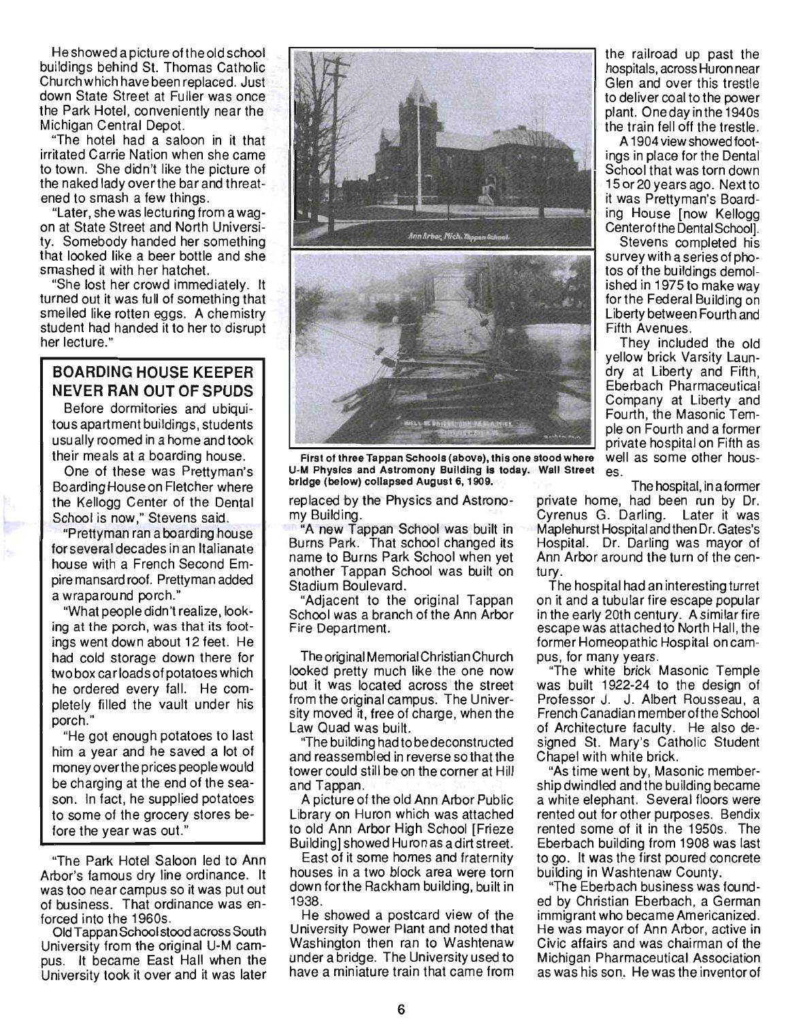He showed a pictu re of the old school buildings behind St. Thomas Catholic Church which have been replaced. Just down State Street at Fuller was once the Park Hotel, conveniently near the Michigan Central Depot.

"The hotel had a saloon in it that irritated Carrie Nation when she came to town. She didn't like the picture of the naked lady over the bar and threatened to smash a few things.

"Later, shewas lecturing from a wagon at State Street and North University. Somebody handed her something that looked like a beer bottle and she smashed it with her hatchet.

"She lost her crowd immediately. It turned out it was full of something that smelled like rotten eggs. A chemistry student had handed it to her to disrupt her lecture."

#### **BOARDING HOUSE KEEPER NEVER RAN OUT OF SPUDS**

Before dormitories and ubiquitous apartment buildings, students usually roomed in a home and took their meals at a boarding house.

One of these was Prettyman's Boarding House on Fletcher where the Kellogg Center of the Dental School is now," Stevens said.

"Prettyman ran a boarding house for several decades in an Italianate house with a French Second Empire mansard roof. Prettyman added a wraparound porch."

"What people didn't realize, looking at the porch, was that its footings went down about 12 feet. He had cold storage down there for two box car loads of potatoes which he ordered every fall. He completely filled the vault under his porch."

"He got enough potatoes to last him a year and he saved a lot of money overthe prices people would be charging at the end of the season. In fact, he supplied potatoes to some of the grocery stores before the year was out."

"The Park Hotel Saloon led to Ann Arbor's famous dry line ordinance. It was too near campus so it was put out of business. That ordinance was enforced into the 1960s.

Old Tappan School stood across South University from the original U-M campus. It became East Hall when the University took it over and it was later





First of three Tappan Schools (above), this one stood where well as some other hous-U-M Physics and Astromony Building is today. Wall Street es. bridge (below) collapsed August 6,1909. The hospital, in a former

replaced by the Physics and Astronomy Building.

"A new Tappan School was built in Burns Park. That school changed its name to Burns Park School when yet another Tappan School was built on Stadium Boulevard.

"Adjacent to the original Tappan School was a branch of the Ann Arbor Fire Department.

The original Memorial Christian Church looked pretty much like the one now but it was located across the street from the original campus. The University moved it, free of charge, when the Law Quad was built.

"The building had to be deconstructed and reassembled in reverse so that the tower could still be on the corner at Hill and Tappan.

A picture of the old Ann Arbor Public Library on Huron which was attached to old Ann Arbor High School [Frieze Building] showed Huron as a dirt street.

East of it some homes and fraternity houses in a two block area were torn down forthe Rackham building, built in 1938.

He showed a postcard view of the University Power Plant and noted that Washington then ran to Washtenaw under a bridge. The University used to have a miniature train that came from

the railroad up past the hospitals, across Huron near Glen and over this trestle to deliver coal to the power , plant. One day in the 1940s the train fell off the trestle.

A 1904view showed footings in place for the Dental School that was torn down 15 or 20 years ago. Next to it was Prettyman's Boarding House [now Kellogg Centerofthe Dental School].

Stevens completed his survey with a series of photos of the buildings demolished in 1975 to make way forthe Federal Building on Liberty between Fourth and Fifth Avenues.

They included the old yellow brick Varsity Laundry at Liberty and Fifth, Eberbach Pharmaceutical Company at Liberty and Fourth, the Masonic Temple on Fourth and a former private hospital on Fifth as

private home, had been run by Dr. Cyrenus G. Darling. Later it was Maplehurst Hospital and then Dr. Gates's Hospital. Dr. Darling was mayor of Ann Arbor around the turn of the century

The hospital had an interesting turret on it and a tubular fire escape popular in the early 20th century. A similar fire escape was attached to North Hall, the former Homeopathic Hospital on campus, for many years.

"The white brick Masonic Temple was built 1922-24 to the design of Professor J. J. Albert Rousseau, a French Canadian memberofthe School of Architecture faculty. He also designed St. Mary's Catholic Student Chapel with white brick.

"As time went by, Masonic membership dwindled and the building became a white elephant. Several floors were rented out for other purposes. Bendix rented some of it in the 1950s. The Eberbach building from 1908 was last to go. It was the first poured concrete building in Washtenaw County.

"The Eberbach business was founded by Christian Eberbach, a German immigrant who became Americanized. He was mayor of Ann Arbor, active in Civic affairs and was chairman of the Michigan Pharmaceutical Association as was his son. He was the inventor of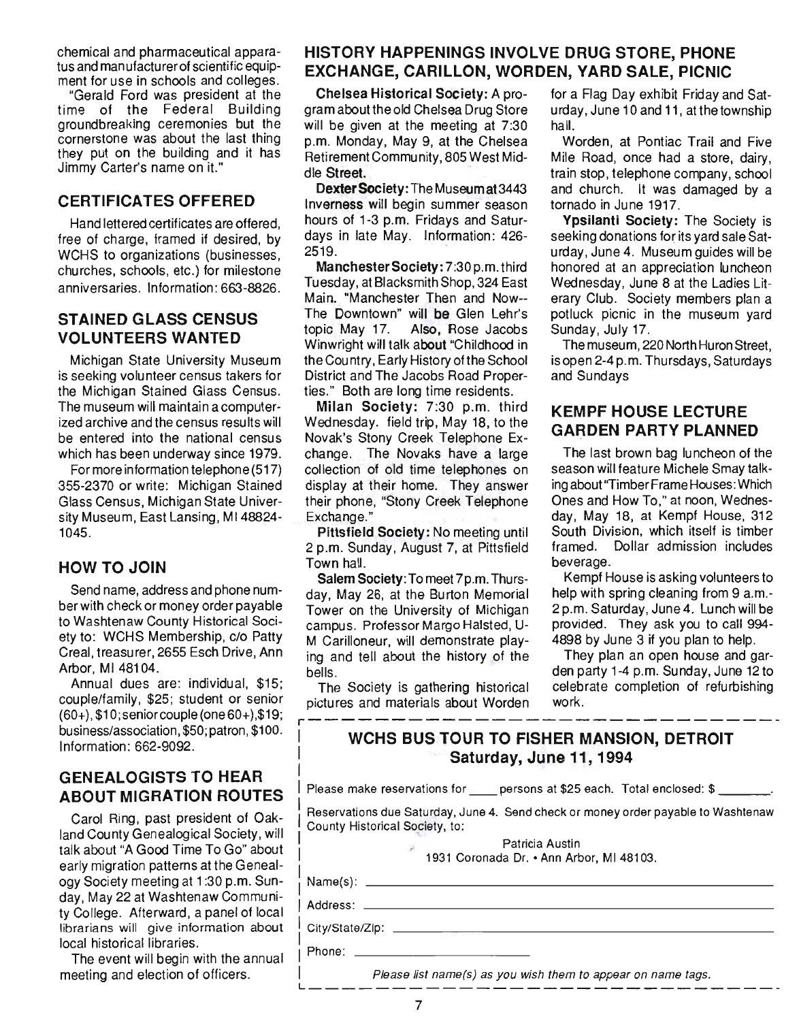chemical and pharmaceutical apparatus and manufacturer of scientific equipment for use in schools and colleges.

"Gerald Ford was president at the time of the Federal Building groundbreaking ceremonies but the cornerstone was about the last thing they put on the building and it has Jimmy Carter's name on it."

#### CERTIFICATES OFFERED

Hand lettered certificates are offered, free of charge, framed if desired, by WCHS to organizations (businesses, churches, schools, etc.) for milestone anniversaries. Information: 663-8826.

## STAINED GLASS CENSUS VOLUNTEERS WANTED

Michigan State University Museum is seeking volunteer census takers for the Michigan Stained Glass Census. The museum will maintain a computerized archive and the census results will be entered into the national census which has been underway since 1979.

For more information telephone (517) 355-2370 or write: Michigan Stained Glass Census, Michigan State University Museum, East Lansing, MI48824- 1045.

## HOW TO JOIN

Send name, address and phone number with check or money order payable to Washtenaw County Historical Society to: WCHS Membership, c/o Patty Creal, treasurer, 2655 Esch Drive, Ann Arbor, MI 48104.

Annual dues are: individual, \$15; couple/family, \$25; student or senior (60+), \$1 O;seniorcouple (one60+),\$19; business/association, \$50; patron, \$100. Information: 662-9092.

## GENEALOGISTS TO HEAR ABOUT MIGRATION ROUTES

Carol Ring, past president of Oakland County Genealogical Society, will talk about "A Good Time To Go" about early migration patterns at the Genealogy Society meeting at 1 :30 p.m. Sunday, May 22 at Washtenaw Community College. Afterward, a panel of local librarians will give information about local historical libraries.

The event will begin with the annual meeting and election of officers.

## HISTORY HAPPENINGS INVOLVE DRUG STORE, PHONE EXCHANGE, CARILLON, WORDEN, YARD SALE, PICNIC

Chelsea Historical Society: A program about the old Chelsea Drug Store will be given at the meeting at 7:30 p.m. Monday, May 9, at the Chelsea Retirement Community, 805 West Middle Street.

Dexter Society: The Museum at 3443 Inverness will begin summer season hours of 1-3 p.m. Fridays and Saturdays in late May. Information: 426- 2519.

Manchester Society: 7:30 p.m. third Tuesday, at Blacksmith Shop, 324 East Main. "Manchester Then and Now-- The Downtown" will be Glen Lehr's topic May 17. Also, Rose Jacobs Win wright will talk about "Childhood in the Cou ntry, Early History of the School District and The Jacobs Road Properties." Both are long time residents.

Milan Society: 7:30 p.m. third Wednesday. field trip, May 18, to the Novak's Stony Creek Telephone Exchange. The Novaks have a large collection of old time telephones on display at their home. They answer their phone, "Stony Creek Telephone Exchange."

Pittsfield Society: No meeting until 2 p.m. Sunday, August 7, at Pittsfield Town hall.

Salem Society: To meet 7p.m. Thursday, May 26, at the Burton Memorial Tower on the University of Michigan campus. Professor Margo Halsted, U-M Carilloneur, will demonstrate playing and tell about the history of the bells .

The Society is gathering historical pictures and materials about Worden r-----------------------------

for a Flag Day exhibit Friday and Saturday, June 10 and 11, at the township hall.

Worden, at Pontiac Trail and Five Mile Road, once had a store, dairy, train stop, telephone company, school and church. It was damaged by a tornado in June 1917.

Ypsilanti Society: The Society is seeking donations for its yard sale Saturday, June 4. Museum guides will be honored at an appreciation luncheon Wednesday, June 8 at the Ladies Literary ClUb. Society members plan a potluck picnic in the museum yard Sunday, July 17.

The museum, 220 North Huron Street, isopen 2-4p.m. Thursdays, Saturdays and Sundays

## KEMPF HOUSE LECTURE GARDEN PARTY PLANNED

The last brown bag luncheon of the season will feature Michele Smay talking about "Timber Frame Houses: Which Ones and How To," at noon, Wednesday, May 18, at Kempf House, 312 South Division, which itself is timber . framed. Dollar admission includes beverage.

Kempf House is asking volunteers to help with spring cleaning from 9 a.m.-2 p.m. Saturday, June 4. Lunch will be provided. They ask you to call 994- 4898 by June 3 if you plan to help.

They plan an open house and garden party 1-4 p.m. Sunday, June 12 to celebrate completion of refurbishing work.

# WCHS BUS TOUR TO FISHER MANSION, DETROIT Saturday, June 11, 1994

Please make reservations for persons at \$25 each. Total enclosed: \$

Reservations due Saturday, June 4. Send check or money order payable to Washtenaw County Historical Society, to:

Patricia Austin

ramcia Ausimi<br>
1931 Coronada Dr. • Ann Arbor, MI 48103.<br>
1931 Coronada Dr. • Ann Arbor, MI 48103.

Address: City/State/Zip: \_\_\_\_\_\_\_\_\_\_\_\_\_\_\_\_\_\_\_\_\_ \_

)ity/State/Zip: \_\_\_\_\_\_\_\_\_\_\_\_\_\_\_\_\_\_\_\_\_\_\_\_<br><sup>p</sup>hone:

Phone:  $\rule{1em}{0.15mm}$  Phone:  $\rule{1em}{0.15mm}$  Please list name(s) as you wish them to appear on name tags.